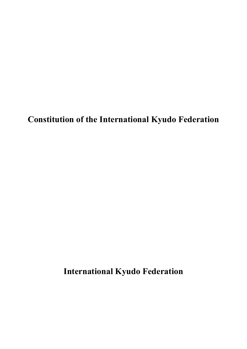**Constitution of the International Kyudo Federation**

**International Kyudo Federation**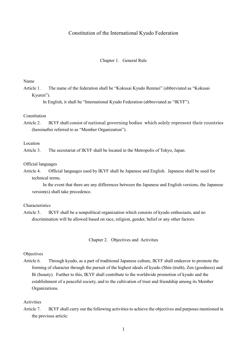# Constitution of the International Kyudo Federation

### Chapter 1. General Rule

Name

Article 1. The name of the federation shall be "Kokusai Kyudo Renmei" (abbreviated as "Kokusai Kyuren").

In English, it shall be "International Kyudo Federation (abbreviated as "IKYF").

# Constitution

Article 2. IKYF shall consist of national governing bodies which solely represent their countries (hereinafter referred to as "Member Organization").

Location

Article 3. The secretariat of IKYF shall be located in the Metropolis of Tokyo, Japan.

Official languages

Article 4. Official languages used by IKYF shall be Japanese and English. Japanese shall be used for technical terms.

In the event that there are any differences between the Japanese and English versions, the Japanese version(s) shall take precedence.

Characteristics

Article 5. IKYF shall be a nonpolitical organization which consists of kyudo enthusiasts, and no discrimination will be allowed based on race, religion, gender, belief or any other factors.

Chapter 2. Objectives and Activities

# Objectives

Article 6. Through kyudo, as a part of traditional Japanese culture, IKYF shall endeavor to promote the forming of character through the pursuit of the highest ideals of kyudo (Shin (truth), Zen (goodness) and Bi (beauty). Further to this, IKYF shall contribute to the worldwide promotion of kyudo and the establishment of a peaceful society, and to the cultivation of trust and friendship among its Member Organizations.

Activities

Article 7. IKYF shall carry out the following activities to achieve the objectives and purposes mentioned in the previous article:

1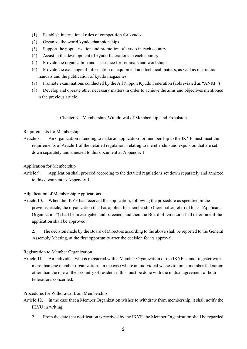- (1) Establish international rules of competition for kyudo
- (2) Organize the world kyudo championships
- (3) Support the popularization and promotion of kyudo in each country
- (4) Assist in the development of kyudo federations in each country
- (5) Provide the organization and assistance for seminars and workshops
- (6) Provide the exchange of information on equipment and technical matters, as well as instruction manuals and the publication of kyudo magazines
- (7) Promote examinations conducted by the All Nippon Kyudo Federation (abbreviated as "ANKF")
- (8) Develop and operate other necessary matters in order to achieve the aims and objectives mentioned in the previous article

Chapter 3. Membership, Withdrawal of Membership, and Expulsion

# Requirements for Membership

Article 8. An organization intending to make an application for membership to the IKYF must meet the requirements of Article 1 of the detailed regulations relating to membership and expulsion that are set down separately and annexed to this document as Appendix 1.

# Application for Membership

Article 9. Application shall proceed according to the detailed regulations set down separately and annexed to this document as Appendix 1.

# Adjudication of Membership Applications

Article 10. When the IKYF has received the application, following the procedure as specified in the previous article, the organization that has applied for membership (hereinafter referred to as "Applicant Organization") shall be investigated and screened, and then the Board of Directors shall determine if the application shall be approved.

2. The decision made by the Board of Directors according to the above shall be reported to the General Assembly Meeting, at the first opportunity after the decision for its approval.

# Registration to Member Organization

Article 11. An individual who is registered with a Member Organization of the IKYF cannot register with more than one member organization. In the case where an individual wishes to join a member federation other than the one of their country of residence, this must be done with the mutual agreement of both federations concerned.

# Procedures for Withdrawal from Membership

- Article 12. In the case that a Member Organization wishes to withdraw from membership, it shall notify the IKYU in writing.
	- 2. From the date that notification is received by the IKYF, the Member Organization shall be regarded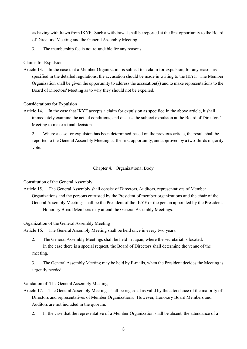as having withdrawn from IKYF. Such a withdrawal shall be reported at the first opportunity to the Board of Directors' Meeting and the General Assembly Meeting.

3. The membership fee is not refundable for any reasons.

Claims for Expulsion

Article 13. In the case that a Member Organization is subject to a claim for expulsion, for any reason as specified in the detailed regulations, the accusation should be made in writing to the IKYF. The Member Organization shall be given the opportunity to address the accusation(s) and to make representations to the Board of Directors' Meeting as to why they should not be expelled.

Considerations for Expulsion

Article 14. In the case that IKYF accepts a claim for expulsion as specified in the above article, it shall immediately examine the actual conditions, and discuss the subject expulsion at the Board of Directors' Meeting to make a final decision.

2. Where a case for expulsion has been determined based on the previous article, the result shall be reported to the General Assembly Meeting, at the first opportunity, and approved by a two-thirds majority vote.

# Chapter 4. Organizational Body

Constitution of the General Assembly

Article 15. The General Assembly shall consist of Directors, Auditors, representatives of Member Organizations and the persons entrusted by the President of member organizations and the chair of the General Assembly Meetings shall be the President of the IKYF or the person appointed by the President. Honorary Board Members may attend the General Assembly Meetings.

Organization of the General Assembly Meeting

Article 16. The General Assembly Meeting shall be held once in every two years.

- 2. The General Assembly Meetings shall be held in Japan, where the secretariat is located. In the case there is a special request, the Board of Directors shall determine the venue of the meeting.
- 3. The General Assembly Meeting may be held by E-mails, when the President decides the Meeting is urgently needed.

Validation of The General Assembly Meetings

- Article 17. The General Assembly Meetings shall be regarded as valid by the attendance of the majority of Directors and representatives of Member Organizations. However, Honorary Board Members and Auditors are not included in the quorum.
	- 2. In the case that the representative of a Member Organization shall be absent, the attendance of a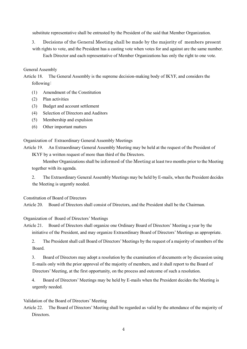substitute representative shall be entrusted by the President of the said that Member Organization.

3. Decisions of the General Meeting shall be made by the majority of members present with rights to vote, and the President has a casting vote when votes for and against are the same number. Each Director and each representative of Member Organizations has only the right to one vote.

General Assembly

Article 18. The General Assembly is the supreme decision-making body of IKYF, and considers the following:

- (1) Amendment of the Constitution
- (2) Plan activities
- (3) Budget and account settlement
- (4) Selection of Directors and Auditors
- (5) Membership and expulsion
- (6) Other important matters

Organization of Extraordinary General Assembly Meetings

Article 19. An Extraordinary General Assembly Meeting may be held at the request of the President of IKYF by a written request of more than third of the Directors.

Member Organizations shall be informed of the Meeting at least two months prior to the Meeting together with its agenda.

2. The Extraordinary General Assembly Meetings may be held by E-mails, when the President decides the Meeting is urgently needed.

Constitution of Board of Directors

Article 20. Board of Directors shall consist of Directors, and the President shall be the Chairman.

Organization of Board of Directors' Meetings

Article 21. Board of Directors shall organize one Ordinary Board of Directors' Meeting a year by the initiative of the President, and may organize Extraordinary Board of Directors' Meetings as appropriate.

2. The President shall call Board of Directors' Meetings by the request of a majority of members of the Board.

3. Board of Directors may adopt a resolution by the examination of documents or by discussion using E-mails only with the prior approval of the majority of members, and it shall report to the Board of Directors' Meeting, at the first opportunity, on the process and outcome of such a resolution.

4. Board of Directors' Meetings may be held by E-mails when the President decides the Meeting is urgently needed.

Validation of the Board of Directors' Meeting

Article 22. The Board of Directors' Meeting shall be regarded as valid by the attendance of the majority of Directors.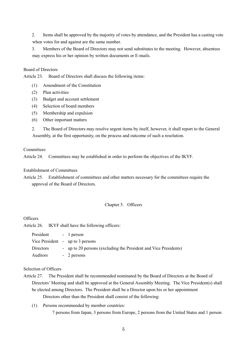2. Items shall be approved by the majority of votes by attendance, and the President has a casting vote when votes for and against are the same number.

3. Members of the Board of Directors may not send substitutes to the meeting. However, absentees may express his or her opinion by written documents or E-mails.

# Board of Directors

Article 23. Board of Directors shall discuss the following items:

- (1) Amendment of the Constitution
- (2) Plan activities
- (3) Budget and account settlement
- (4) Selection of board members
- (5) Membership and expulsion
- (6) Other important matters

2. The Board of Directors may resolve urgent items by itself, however, it shall report to the General Assembly, at the first opportunity, on the process and outcome of such a resolution.

## **Committees**

Article 24. Committees may be established in order to perform the objectives of the IKYF.

# Establishment of Committees

Article 25. Establishment of committees and other matters necessary for the committees require the approval of the Board of Directors.

## Chapter 5. Officers

# **Officers**

Article 26. IKYF shall have the following officers:

| President | - 1 person                                                       |
|-----------|------------------------------------------------------------------|
|           | Vice President - up to 3 persons                                 |
| Directors | - up to 20 persons (excluding the President and Vice Presidents) |
| Auditors  | - 2 persons                                                      |

## Selection of Officers

- Article 27. The President shall be recommended nominated by the Board of Directors at the Board of Directors' Meeting and shall be approved at the General Assembly Meeting. The Vice President(s) shall be elected among Directors. The President shall be a Director upon his or her appointment Directors other than the President shall consist of the following:
	- (1) Persons recommended by member countries: 7 persons from Japan, 3 persons from Europe, 2 persons from the United States and 1 person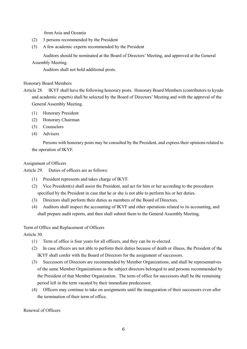from Asia and Oceania

- (2) 3 persons recommended by the President
- (3) A few academic experts recommended by the President

Auditors should be nominated at the Board of Directors' Meeting, and approved at the General Assembly Meeting.

Auditors shall not hold additional posts.

# Honorary Board Members

- Article 28. IKYF shall have the following honorary posts. Honorary Board Members (contributors to kyudo and academic experts) shall be selected by the Board of Directors' Meeting and with the approval of the General Assembly Meeting.
	- (1) Honorary President
	- (2) Honorary Chairman
	- (3) Counselors
	- (4) Advisers

Persons with honorary posts may be consulted by the President, and express their opinions related to the operation of IKYF.

# Assignment of Officers

Article 29. Duties of officers are as follows:

- (1) President represents and takes charge of IKYF.
- (2) Vice President(s) shall assist the President, and act for him or her according to the procedures specified by the President in case that he or she is not able to perform his or her duties.
- (3) Directors shall perform their duties as members of the Board of Directors.
- (4) Auditors shall inspect the accounting of IKYF and other operations related to its accounting, and shall prepare audit reports, and then shall submit them to the General Assembly Meeting.

# Term of Office and Replacement of Officers

Article 30.

- (1) Term of office is four years for all officers, and they can be re-elected.
- (2) In case officers are not able to perform their duties because of death or illness, the President of the IKYF shall confer with the Board of Directors for the assignment of successors.
- (3) Successors of Directors are recommended by Member Organizations, and shall be representatives of the same Member Organizations as the subject directors belonged to and persons recommended by the President of that Member Organization. The term of office for successors shall be the remaining period left in the term vacated by their immediate predecessor.
- (4) Officers may continue to take on assignments until the inauguration of their successors even after the termination of their term of office.

Renewal of Officers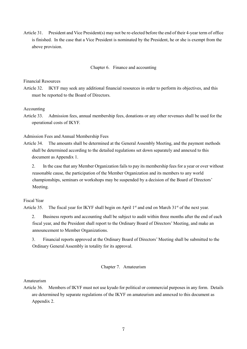Article 31. President and Vice President(s) may not be re-elected before the end of their 4-year term of office is finished. In the case that a Vice President is nominated by the President, he or she is exempt from the above provision.

## Chapter 6. Finance and accounting

Financial Resources

Article 32. IKYF may seek any additional financial resources in order to perform its objectives, and this must be reported to the Board of Directors.

Accounting

Article 33. Admission fees, annual membership fees, donations or any other revenues shall be used for the operational costs of IKYF.

Admission Fees and Annual Membership Fees

- Article 34. The amounts shall be determined at the General Assembly Meeting, and the payment methods shall be determined according to the detailed regulations set down separately and annexed to this document as Appendix 1.
	- 2. In the case that any Member Organization fails to pay its membership fees for a year or over without reasonable cause, the participation of the Member Organization and its members to any world championships, seminars or workshops may be suspended by a decision of the Board of Directors' Meeting.

Fiscal Year

Article 35. The fiscal year for IKYF shall begin on April 1<sup>st</sup> and end on March 31<sup>st</sup> of the next year.

2. Business reports and accounting shall be subject to audit within three months after the end of each fiscal year, and the President shall report to the Ordinary Board of Directors' Meeting, and make an announcement to Member Organizations.

3. Financial reports approved at the Ordinary Board of Directors' Meeting shall be submitted to the Ordinary General Assembly in totality for its approval.

## Chapter 7. Amateurism

Amateurism

Article 36. Members of IKYF must not use kyudo for political or commercial purposes in any form. Details are determined by separate regulations of the IKYF on amateurism and annexed to this document as Appendix 2.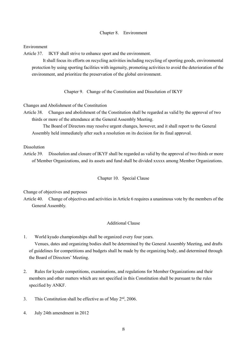# Chapter 8. Environment

Environment

Article 37. IKYF shall strive to enhance sport and the environment.

It shall focus its efforts on recycling activities including recycling of sporting goods, environmental protection by using sporting facilities with ingenuity, promoting activities to avoid the deterioration of the environment, and prioritize the preservation of the global environment.

Chapter 9. Change of the Constitution and Dissolution of IKYF

Changes and Abolishment of the Constitution

Article 38. Changes and abolishment of the Constitution shall be regarded as valid by the approval of two thirds or more of the attendance at the General Assembly Meeting.

The Board of Directors may resolve urgent changes, however, and it shall report to the General Assembly held immediately after such a resolution on its decision for its final approval.

## Dissolution

Article 39. Dissolution and closure of IKYF shall be regarded as valid by the approval of two thirds or more of Member Organizations, and its assets and fund shall be divided xxxxx among Member Organizations.

## Chapter 10. Special Clause

Change of objectives and purposes

Article 40. Change of objectives and activities in Article 6 requires a unanimous vote by the members of the General Assembly.

## Additional Clause

1. World kyudo championships shall be organized every four years.

Venues, dates and organizing bodies shall be determined by the General Assembly Meeting, and drafts of guidelines for competitions and budgets shall be made by the organizing body, and determined through the Board of Directors' Meeting.

- 2. Rules for kyudo competitions, examinations, and regulations for Member Organizations and their members and other matters which are not specified in this Constitution shall be pursuant to the rules specified by ANKF.
- 3. This Constitution shall be effective as of May  $2<sup>nd</sup>$ , 2006.
- 4. July 24th amendment in 2012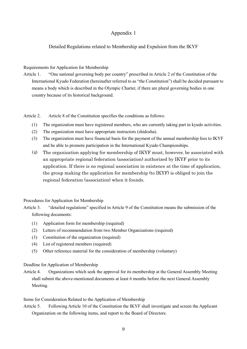# Appendix 1

# Detailed Regulations related to Membership and Expulsion from the IKYF

# Requirements for Application for Membership

Article 1. "One national governing body per country" prescribed in Article 2 of the Constitution of the International Kyudo Federation (hereinafter referred to as "the Constitution") shall be decided pursuant to means a body which is described in the Olympic Charter, if there are plural governing bodies in one country because of its historical background.

Article 2. Article 8 of the Constitution specifies the conditions as follows:

- (1) The organization must have registered members, who are currently taking part in kyudo activities.
- (2) The organization must have appropriate instructors (shidosha).
- (3) The organization must have financial basis for the payment of the annual membership fees to IKYF and be able to promote participation in the International Kyudo Championships.
- (4) The organization applying for membership of IKYF must, however, be associated with an appropriate regional federation (association) authorized by IKYF prior to its application. If there is no regional association in existence at the time of application, the group making the application for membership (to IKYF) is obliged to join the regional federation (association) when it founds.

# Procedures for Application for Membership

- Article 3. "detailed regulations" specified in Article 9 of the Constitution means the submission of the following documents:
	- (1) Application form for membership (required)
	- (2) Letters of recommendation from two Member Organizations (required)
	- (3) Constitution of the organization (required)
	- (4) List of registered members (required)
	- (5) Other reference material for the consideration of membership (voluntary)

# Deadline for Application of Membership

Article 4. Organizations which seek the approval for its membership at the General Assembly Meeting shall submit the above-mentioned documents at least 6 months before the next General Assembly Meeting.

Items for Consideration Related to the Application of Membership

Article 5. Following Article 10 of the Constitution the IKYF shall investigate and screen the Applicant Organization on the following items, and report to the Board of Directors.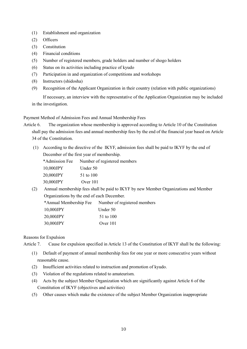- (1) Establishment and organization
- (2) Officers
- (3) Constitution
- (4) Financial conditions
- (5) Number of registered members, grade holders and number of shogo holders
- (6) Status on its activities including practice of kyudo
- (7) Participation in and organization of competitions and workshops
- (8) Instructors (shidosha)
- (9) Recognition of the Applicant Organization in their country (relation with public organizations)

If necessary, an interview with the representative of the Application Organization may be included in the investigation.

Payment Method of Admission Fees and Annual Membership Fees

Article 6. The organization whose membership is approved according to Article 10 of the Constitution shall pay the admission fees and annual membership fees by the end of the financial year based on Article 34 of the Constitution.

(1) According to the directive of the IKYF, admission fees shall be paid to IKYF by the end of December of the first year of membership.

\*Admission Fee Number of registered members

10,000JPY Under 50 20,000JPY 51 to 100 30,000JPY Over 101

(2) Annual membership fees shall be paid to IKYF by new Member Organizations and Member Organizations by the end of each December.

\*Annual Membership Fee Number of registered members 10,000JPY Under 50 20,000JPY 51 to 100 30,000JPY Over 101

Reasons for Expulsion

Article 7. Cause for expulsion specified in Article 13 of the Constitution of IKYF shall be the following:

- (1) Default of payment of annual membership fees for one year or more consecutive years without reasonable cause.
- (2) Insufficient activities related to instruction and promotion of kyudo.
- (3) Violation of the regulations related to amateurism.
- (4) Acts by the subject Member Organization which are significantly against Article 6 of the Constitution of IKYF (objectives and activities)
- (5) Other causes which make the existence of the subject Member Organization inappropriate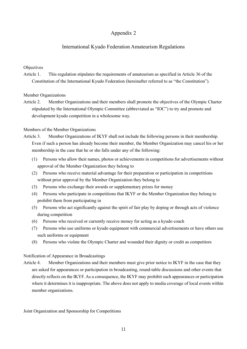# Appendix 2

# International Kyudo Federation Amateurism Regulations

# **Objectives**

Article 1. This regulation stipulates the requirements of amateurism as specified in Article 36 of the Constitution of the International Kyudo Federation (hereinafter referred to as "the Constitution").

Member Organizations

Article 2. Member Organizations and their members shall promote the objectives of the Olympic Charter stipulated by the International Olympic Committee (abbreviated as "IOC") to try and promote and development kyudo competition in a wholesome way.

# Members of the Member Organizations

- Article 3. Member Organizations of IKYF shall not include the following persons in their membership. Even if such a person has already become their member, the Member Organization may cancel his or her membership in the case that he or she falls under any of the following:
	- (1) Persons who allow their names, photos or achievements in competitions for advertisements without approval of the Member Organization they belong to
	- (2) Persons who receive material advantage for their preparation or participation in competitions without prior approval by the Member Organization they belong to
	- (3) Persons who exchange their awards or supplementary prizes for money
	- (4) Persons who participate in competitions that IKYF or the Member Organization they belong to prohibit them from participating in
	- (5) Persons who act significantly against the spirit of fair play by doping or through acts of violence during competition
	- (6) Persons who received or currently receive money for acting as a kyudo coach
	- (7) Persons who use uniforms or kyudo equipment with commercial advertisements or have others use such uniforms or equipment
	- (8) Persons who violate the Olympic Charter and wounded their dignity or credit as competitors

# Notification of Appearance in Broadcastings

Article 4. Member Organizations and their members must give prior notice to IKYF in the case that they are asked for appearances or participation in broadcasting, round-table discussions and other events that directly reflects on the IKYF. As a consequence, the IKYF may prohibit such appearances or participation where it determines it is inappropriate. The above does not apply to media coverage of local events within member organizations.

Joint Organization and Sponsorship for Competitions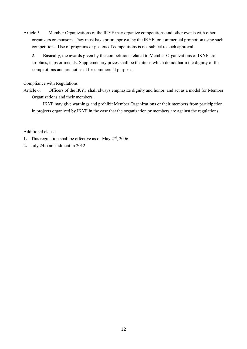Article 5. Member Organizations of the IKYF may organize competitions and other events with other organizers or sponsors. They must have prior approval by the IKYF for commercial promotion using such competitions. Use of programs or posters of competitions is not subject to such approval.

2. Basically, the awards given by the competitions related to Member Organizations of IKYF are trophies, cups or medals. Supplementary prizes shall be the items which do not harm the dignity of the competitions and are not used for commercial purposes.

Compliance with Regulations

Article 6. Officers of the IKYF shall always emphasize dignity and honor, and act as a model for Member Organizations and their members.

IKYF may give warnings and prohibit Member Organizations or their members from participation in projects organized by IKYF in the case that the organization or members are against the regulations.

# Additional clause

- 1. This regulation shall be effective as of May  $2<sup>nd</sup>$ , 2006.
- 2. July 24th amendment in 2012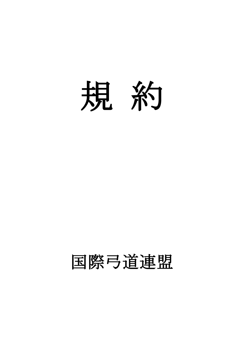

# 国際弓道連盟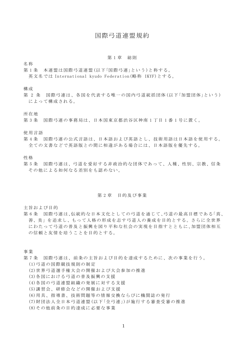# 国際弓道連盟規約

#### 第1章 総則

名称

第1条 本連盟は国際弓道連盟(以下「国際弓連」という)と称する。 英文名では International kyudo Federation(略称 IKYF)とする。

構成

第 2 条 国際弓連は、各国を代表する唯一の国内弓道統括団体(以下「加盟団体」という) によって構成される。

所在地

第3条 国際弓連の事務局は、日本国東京都渋谷区神南1丁目1番1号に置く。

使用言語

第 4 条 国際弓連の公式言語は、日本語および英語とし、技術用語は日本語を使用する。 全ての文書などで英語版との間に相違がある場合には、日本語版を優先する。

性格

第 5 条 国際弓連は、弓道を愛好する非政治的な団体であって、人種、性別、宗教、信条 その他による如何なる差別をも認めない。

#### 第 2 章 目的及び事業

主旨および目的

第 6 条 国際弓連は、伝統的な日本文化としての弓道を通じて、弓道の最高目標である「真、 善、美」を追求し、もって人格の形成を志す弓道人の養成を目的とする。さらに全世界 にわたって弓道の普及と振興を図り平和な社会の実現を目指すととも に、加盟団体相互 の信頼と友情を培うことを目的とする。

事業

第 7 条 国際弓連は、前条の主旨および目的を達成するために、次の事業を行う。

(1)弓道の国際競技規則の制定

- (2)世界弓道選手権大会の開催および大会参加の推進
- (3)各国における弓道の普及振興の支援
- (4)各国の弓道連盟組織の発展に対する支援
- (5)講習会、研修会などの開催および支援
- (6)用具、指導書、技術問題等の情報交換ならびに機関誌の発行
- (7)財団法人全日本弓道連盟(以下 「全弓連 」)が施行する審査受審の推進
- (8)その他前条の目的達成に必要な事業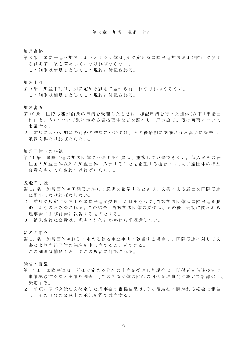#### 第 3 章 加盟、脱退、除名

加盟資格

- 第 8 条 国際弓連へ加盟しようとする団体は、別に定める国際弓連加盟および除名に関す る細則第 1 条を満たしていなければならない。
	- この細則は補足 1 としてこの規約に付記される。

加盟申請

第 9 条 加盟申請は、別に定める細則に基づき行われなければならない。 この細則は補足 1 としてこの規約に付記される。

加盟審査

- 第10条 国際弓連が前条の申請を受理したときは、加盟申請を行った団体(以下「申請団 体」という)について別に定める資格要件などを調査し、理事会で加盟 の可否について 審議する。
- 2 前項に基づく加盟の可否の結果については、その後最初に開催される総会に報告し、 承認を得なければならない。

加盟団体への登録

第 11 条 国際弓連の加盟団体に登録する会員は、重複して登録できない。 個人がその居 住国の加盟団体以外の加盟団体に入会することを希望する場合には、両加盟団体の相互 合意をもってなされなければならない。

脱退の手続

- 第12条 加盟団体が国際弓連からの脱退を希望するときは、文書による届出を国際弓連 に提出しなければならない。
- 2 前項に規定する届出を国際弓連が受理した日をもって、当該加盟団体は国際弓連を脱 退したものとみなされる。この場合、当該加盟団体の脱退は、その後、最初に開かれる 理事会および総会に報告するものとする。
- 3 納入された会費は、理由の如何にかかわらず返還しない。

除名の申立

第13条 加盟団体が細則に定める除名申立事由に該当する場合は、国際弓連に対して文 書により当該団体の除名を申し立てることができる。 この細則は補足 1 としてこの規約に付記される。

除名の審議

- 第14条 国際弓連は、前条に定める除名の申立を受理した場合は、関係者から速やかに 事情聴取するなど実情を調査し、当該加盟団体の除名の可否を理事会において審議の上、 決定する。
- 2 前項に基づき除名を決定した理事会の審議結果は、その後最初に開かれる総会で報告 し、その3分の2以上の承認を得て成立する。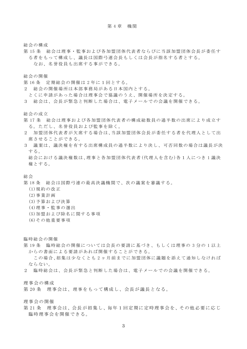総会の構成

第15条 総会は理事・監事および各加盟団体代表者ならびに当該加盟団体会長が委任す る者をもって構成し、議長は国際弓連会長もしくは会長が指名する者とする。 なお、名誉役員も出席する事ができる。

総会の開催

- 第 16 条 定期総会の開催は 2 年に1回とする。
- 2 総会の開催場所は本部事務局がある日本国内とする。
- とくに申請があった場合は理事会で協議のうえ、開催場所を決定する。
- 3 総会は、会長が緊急と判断した場合は、電子メールで の会議を開催できる。

総会の成立

- 第17条 総会は理事および各加盟団体代表者の構成総数員の過半数の出席により成立す る。ただし、名誉役員および監事を除く。
- 2 加盟団体代表者が欠席する場合は、当該加盟団体会長が委任する者を代理人として出 席させることができる。
- 3 議案は、議決権を有する出席構成員の過半数により決し、可否 同数の場合は議長が決 する。

総会における議決権数は、理事と各加盟団体代表者(代理人を含む)各1人につき 1 議決 権とする。

総会

- 第 18 条 総会は国際弓連の最高決議機関で、次の議案を審議する。
	- (1)規約の改正
	- (2)事業計画
	- (3)予算および決算
	- (4)理事・監事の選出
	- (5)加盟および除名に関する事項
	- (6)その他重要事項

臨時総会の開催

第19条 臨時総会の開催については会長の要請に基づき、もしくは理事の3分の1以上 からの書面による要請があれば開催することができる。

この場合、招集は少なくとも 2 ヶ月前までに加盟団体に議題を添えて通知しなければ ならない。

2 臨時総会は、会長が緊急と判断した場合は、電子メールで の会議を開催できる。

理事会の構成

第 20 条 理事会は、理事をもって構成し、会長が議長となる。

理事会の開催

第21条 理事会は、会長が招集し、毎年1回定期に定時理事会を、その他必要に応じ 臨時理事会を開催できる。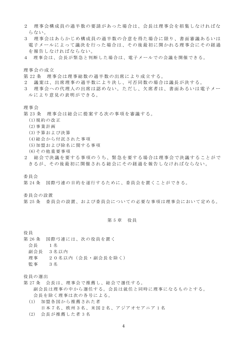- 2 理事会構成員の過半数の要請があった場合は、会長は理事会を招集しなければな らない。
- 3 理事会はあらかじめ構成員の過半数の合意を得た場合に限り、書面審議あるいは 電子メールによって議決を行った場合は、その後最初に開かれる理事会にその経過 を報告しなければならない。
- 4 理事会は、会長が緊急と判断した場合は、電子メールで の会議を開催できる。

理事会の成立

- 第 22 条 理事会は理事総数の過半数の出席により成立する。
- 2 議案は、出席理事の過半数により決し、可否同数の場合は議長が決する。
- 3 理事会への代理人の出席は認めない。ただし、欠席者は、書面あるいは電子メー ルにより意見の表明ができる。

理事会

- 第 23 条 理事会は総会に提案する次の事項を審議する。
	- (1)規約の改正
	- (2)事業計画
	- (3)予算および決算
	- (4)総会から付託された事項
	- (5)加盟および除名に関する事項
	- (6)その他重要事項
- 2 総会で決議を要する事項のうち、緊急を要する場合は理事会で決議することがで きるが、その後最初に開催される総会にその経過を報告しなければならない 。

委員会

第 24 条 国際弓連の目的を遂行するために、委員会を置くことができる。

委員会の設置

第 25 条 委員会の設置、および委員会についての必要な事項は理事会において定める。

#### 第 5 章 役員

役員

- 第 26 条 国際弓連には、次の役員を置く
	- 会長 1名
	- 副会長 3名以内
	- 理事 20名以内(会長・副会長を除く)
	- 監事 3名

役員の選出

- 第 27 条 会長は、理事会で推薦し、総会で選任する。 副会長は理事の中から選任する。会長は就任と同時に理事になるものとする。 会長を除く理事は次の各号による。
	- (1) 加盟各国から推薦された者 日本7名、欧州3名、米国2名、アジアオセアニア 1 名
	- (2) 会長が推薦した者 3 名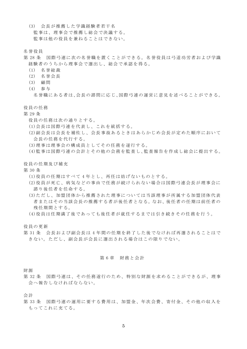- (3) 会長が推薦した学識経験者若干名 監事は、理事会で推薦し総会で決議する。 監事は他の役員を兼ねることはできない。
- 名誉役員
- 第 28 条 国際弓連に次の名誉職を置くことができる。名誉役員は弓道功労者および学識 経験者のうちから理事会で選出し、総会で承認を得る。
	- (1) 名誉総裁
	- (2) 名誉会長
	- (3) 顧問
	- (4) 参与
		- 名誉職にある者は、会長の諮問に応じ、国際弓連の運営に意見を述べることができる。

役員の任務

- 第 29 条
	- 役員の任務は次の通りとする。
	- (1)会長は国際弓連を代表し、これを統括する。
	- (2)副会長は会長を補佐し、会長事故あるときは あらかじめ会長が定めた順序において 会長の任務を代行する。
	- (3)理事は理事会の構成員としてその任務を遂行する。
	- (4)監事は国際弓連の会計とその他の会務を監査し、監査報告を作成し総会に提出する。
- 役員の任期及び補充
- 第 30 条
	- (1)役員の任期はすべて 4 年とし、再任は妨げないものとする。
	- (2)役員が死亡、病気などの事由で任務が続けられない場合は国際弓連会長が理事会に 諮り後任者を任命する。
	- (3)ただし、加盟団体から推薦された理事については当該理事が所属する加盟団体代表 者またはその当該会長の推薦する者が後任者となる。なお、後任者の任期は前任者の 残任期間とする。
	- (4)役員は任期満了後であっても後任者が就任するまでは引き続きその任務を行 う。

役員の更新

第 31 条 会長および副会長は 4 年間の任期を終了した後でなければ再選されることはで きない。ただし、副会長が会長に選出される場合はこの限りでない。

#### 第 6 章 財務と会計

財源

第 32 条 国際弓連は、その任務遂行のため、特別な財源を求めることができるが、理事 会へ報告しなければならない。

会計

第 33 条 国際弓連の運用に要する費用は、加盟金、年次会費、寄付金、その他の収入を もってこれに充てる。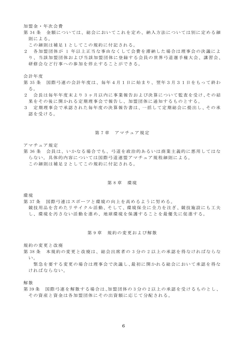加盟金・年次会費

第 34 条 金額については、総会においてこれを定め、納入方法については別に定める細 則による。

この細則は補足1としてこの規約に付記される。

2 各加盟団体が 1 年以上正当な事由なくして会費を滞納した場合は理事会の決議によ り、当該加盟団体および当該加盟団体に登録する会員の世界弓道選手権大会、講習会、 研修会など行事への参加を停止することができる。

会計年度

- 第 35 条 国際弓連の会計年度は、毎年4月1日に始まり、翌年3月31日をもって終わ る。
- 2 会長は毎年年度末より 3 ヶ月以内に事業報告および決算について監査を受け、その結 果をその後に開かれる定期理事会で報告し、加盟団体に通知するものとする。
- 3 定期理事会で承認された毎年度の決算報告書は、一括して定期総会に提出し、その承 認を受ける。

#### 第7章 アマチュア規定

アマチュア規定

第 36 条 会員は、いかなる場合でも、弓道を政治的あるいは商業主義的に悪用してはな らない。具体的内容については国際弓道連盟アマチュア規程細則による。 この細則は補足2としてこの規約に付記される。

#### 第 8 章 環境

環境

- 第 37 条 国際弓連はスポーツと環境の向上を高めるように努める。
- 競技用品を含めたリサイクル活動、そして、環境保全に全力を注ぎ、競技施設にも工夫 し、環境を汚さない活動を進め、地球環境を保護することを最優先に促進する。

#### 第 9 章 規約の変更および解散

規約の変更と改廃

第 38 条 本規約の変更と改廃は、総会出席者の 3 分の 2 以上の承認を得なければならな い。

緊急を要する変更の場合は理事会で決議し、最初に開かれる総会において承認を得な ければならない。

解散

第 39 条 国際弓連を解散する場合は、加盟団体の 3 分の 2 以上の承認を受けるものとし、 その資産と資金は各加盟団体にその出資額に応じて分配される。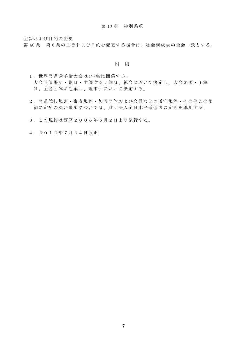主旨および目的の変更

第 40 条 第 6 条の主旨および目的を変更する場合は、総会構成員の全会一致とする。

#### 附 則

- 1.世界弓道選手権大会は4年毎に開催する。 大会開催場所・期日・主管する団体は、総会において決定し、大会要項・予算 は、主管団体が起案し、理事会において決定する。
- 2.弓道競技規則・審査規程・加盟団体および会員などの遵守規程・その他この規 約に定めのない事項については、財団法人全日本弓道連盟の定め を準用する。
- 3.この規約は西暦2006年5月2日より施行する。
- 4.2012年7月24日改正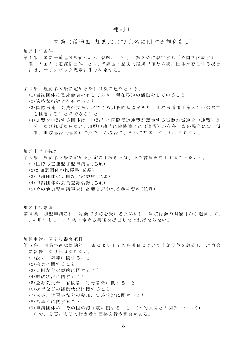# 補則1

国際弓道連盟 加盟および除名に関する規程細則

加盟申請条件

- 第 1 条 国際弓道連盟規約(以下、規約、という) 第2条に規定する「各国を代表する 唯一の国内弓道統括団体」とは、当該国に歴史的経緯で複数の統括団体が存在する場合 には、オリンピック憲章に則り決定する。
- 第 2 条 規約第 8 条に定める条件は次の通りとする。
	- (1)当該団体は登録会員を有しており、現在弓道の活動をしていること
	- (2)適格な指導者を有すること
	- (3)国際弓連年会費の支払いができる財政的基盤があり、世界弓道選手権大会への参加 を推進することができること
	- (4)加盟を申請する団体は、申請前に国際弓道連盟が認定する当該地域連合(連盟) 加 盟しなければならない。加盟申請時に地域連合に(連盟)が存在しない場合には、将 来、地域連合(連盟)の成立した場合に、それに加盟しなければならない。

加盟申請手続き

- 第 3 条 規約第 9 条に定める所定の手続きとは、下記書類を提出することをいう。 (1)国際弓道連盟加盟申請書(必須)
	- (2)2 加盟団体の推薦書(必須)
	- (3)申請団体の会則などの規約(必須)
	- (4)申請団体の会員登録名簿(必須)
	- (5)その他加盟申請審査に必要と思われる参考資料(任意)

加盟申請期限

第 4 条 加盟申請者は、総会で承認を受けるためには、当該総会の開催月から起算して、 6 ヶ月前までに、前条に定める書類を提出しなければならない 。

加盟申請に関する審査項目

- 第 5 条 国際弓連は規約第 10 条により下記の各項目について申請団体を調査し、理事会 に報告しなければならない。
	- (1)設立、組織に関すること
	- (2)役員に関すること
	- (3)会則などの規約に関すること
	- (4)財政状況に関すること
	- (5)登録会員数、有段者、称号者数に関すること
	- (6)練習などの活動状況に関すること
	- (7)大会、講習会などの参加、実施状況に関すること
	- (8)指導者に関すること
	- (9)申請団体の、その国の認知度に関すること (公的機関との関係について) なお、必要に応じて代表者の面接を行う場合がある。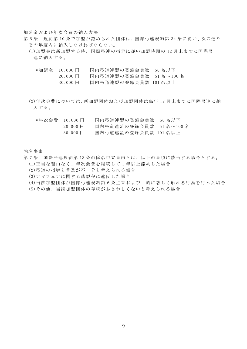加盟金および年次会費の納入方法

- 第 6 条 規約第 10 条で加盟が認められた団体は、国際弓連規約第 34 条に従い、次の通り その年度内に納入しなければならない。
	- (1)加盟金は新加盟する時、国際弓連の指示に従い加盟時期の 12 月末までに国際弓 連に納入する。
		- \*加盟金 10,000 円 国内弓道連盟の登録会員数 50 名以下
			- 20,000 円 国内弓道連盟の登録会員数 51 名~100 名
			- 30,000 円 国内弓道連盟の登録会員数 101 名以上
	- (2)年次会費については、新加盟団体および加盟団体は毎年 12 月末までに国際弓連に納 入する。
		- \*年次会費 10,000 円 国内弓道連盟の登録会員数 50 名以下
			- 20,000 円 国内弓道連盟の登録会員数 51 名~100 名
				- 30,000 円 国内弓道連盟の登録会員数 101 名以上

#### 除名事由

- 第 7 条 国際弓連規約第 13 条の除名申立事由とは、以下の事項に該当する場合とする。 (1)正当な理由なく、年次会費を継続して 1 年以上滞納した場合
	- (2)弓道の指導と普及が不十分と考えられる場合
	- (3)アマチュアに関する諸規程に違反した場合
	- (4)当該加盟団体が国際弓連規約第 6 条主旨および目的に著しく触れる行為を行った場合
	- (5)その他、当該加盟団体の存続がふさわしくないと考えられる場合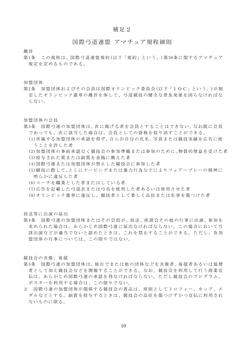## 補足2

# 国際弓道連盟 アマチュア規程細則

趣旨

第1条 この規程は、国際弓道連盟規約(以下「規約」という。)第36条に関するアマチュア 規定を定めるものである。

加盟団体

第2条 加盟団体およびその会員は国際オリンピック委員会(以下「IOC」という。)が制 定したオリンピック憲章の趣旨を体して、弓道競技の健全な普及発展を図らなければな らない。

加盟団体の会員

- 第3条 国際弓連の加盟団体は、次に掲げる者を会員とすることはできない。なお既に会員 であっても、次に該当した場合は、会員 としての資格を取り消すことができる。
	- (1)所属する加盟団体の承認を得ず、自らが自分の氏名、写真または競技実績を広告に使 うことを許した者
	- (2)加盟団体の事前承認なく競技会の参加準備または参加のために、物質的便益を受けた者
	- (3)授与された賞または副賞を金銭に換えた者
	- (4)国際弓連または加盟団体が禁止した競技会に参加した者
	- (5)競技に際して、とくにドーピングまたは暴力行為などによりフェアープレーの精神に 明らかに違反した者
	- (6)コーチを職業とした者またはしている者
	- (7)広告を記載した弓道衣または弓具を使用した者あるいは使用させた者
	- (8)オリンピック憲章に違反し、競技者として著しく品位または名誉を傷つけた者

放送等に出演の届出

第4条 国際弓連の加盟団体またはその会員が、放送、座談会その他の行事に出演、参加を 求められた場合は、あらかじめ国際弓連に届出なければならない。この場合において当 該出演などが適当でないと認めたときは、これを禁止することができる。 ただし、各加 盟団体の行事については、この限りではない。

競技会の共催、後援

- 第5条 国際弓連の加盟団体は、独自でまたは他の団体などを共催者、後援者あるいは協賛 者として加え競技会などを開催することができる。なお、競技会を利用して行う商業宣 伝は、あらかじめ国際弓連の承認を得なければならない。ただし競技会のプロ グラム、 ポスターを利用する場合は、この限りでない。
- 2 国際弓連の加盟団体が関係する競技会の賞品は、原則としてトロフィー、カップ、メ ダルなどとする。副賞を授与するときは、競技会の品位を傷つけず かつ宣伝に利用され ないものに限る。